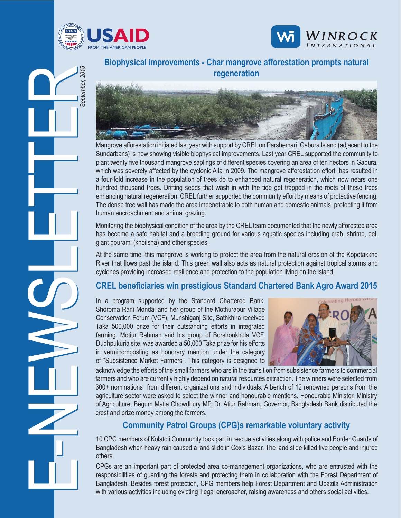





**Biophysical improvements - Char mangrove afforestation prompts natural regeneration**



Sundarbans) is now showing visible biophysical improvements. Last year CREL supported the community to plant twenty five thousand mangrove saplings of different species covering an area of ten hectors in Gabura, which was severely affected by the cyclonic Aila in 2009. The mangrove afforestation effort has resulted in a four-fold increase in the population of trees do to enhanced natural regeneration, which now nears one hundred thousand trees. Drifting seeds that wash in with the tide get trapped in the roots of these trees enhancing natural regeneration. CREL further supported the community effort by means of protective fencing. The dense tree wall has made the area impenetrable to both human and domestic animals, protecting it from human encroachment and animal grazing.

Monitoring the biophysical condition of the area by the CREL team documented that the newly afforested area has become a safe habitat and a breeding ground for various aquatic species including crab, shrimp, eel, giant gourami (khoilsha) and other species.

At the same time, this mangrove is working to protect the area from the natural erosion of the Kopotakkho River that flows past the island. This green wall also acts as natural protection against tropical storms and cyclones providing increased resilience and protection to the population living on the island.

### **CREL beneficiaries win prestigious Standard Chartered Bank Agro Award 2015**

In a program supported by the Standard Chartered Bank, Shoroma Rani Mondal and her group of the Mothurapur Village Conservation Forum (VCF), Munshiganj Site, Sathkhira received Taka 500,000 prize for their outstanding efforts in integrated farming. Motiur Rahman and his group of Borshonkhola VCF, Dudhpukuria site, was awarded a 50,000 Taka prize for his efforts in vermicomposting as honorary mention under the category of "Subsistence Market Farmers". This category is designed to



acknowledge the efforts of the small farmers who are in the transition from subsistence farmers to commercial farmers and who are currently highly depend on natural resources extraction. The winners were selected from 300+ nominations from different organizations and individuals. A bench of 12 renowned persons from the agriculture sector were asked to select the winner and honourable mentions. Honourable Minister, Ministry of Agriculture, Begum Matia Chowdhury MP, Dr. Atiur Rahman, Governor, Bangladesh Bank distributed the crest and prize money among the farmers.

#### **Community Patrol Groups (CPG)s remarkable voluntary activity**

10 CPG members of Kolatoli Community took part in rescue activities along with police and Border Guards of Bangladesh when heavy rain caused a land slide in Cox's Bazar. The land slide killed five people and injured others.

CPGs are an important part of protected area co-management organizations, who are entrusted with the responsibilities of guarding the forests and protecting them in collaboration with the Forest Department of Bangladesh. Besides forest protection, CPG members help Forest Department and Upazila Administration with various activities including evicting illegal encroacher, raising awareness and others social activities.